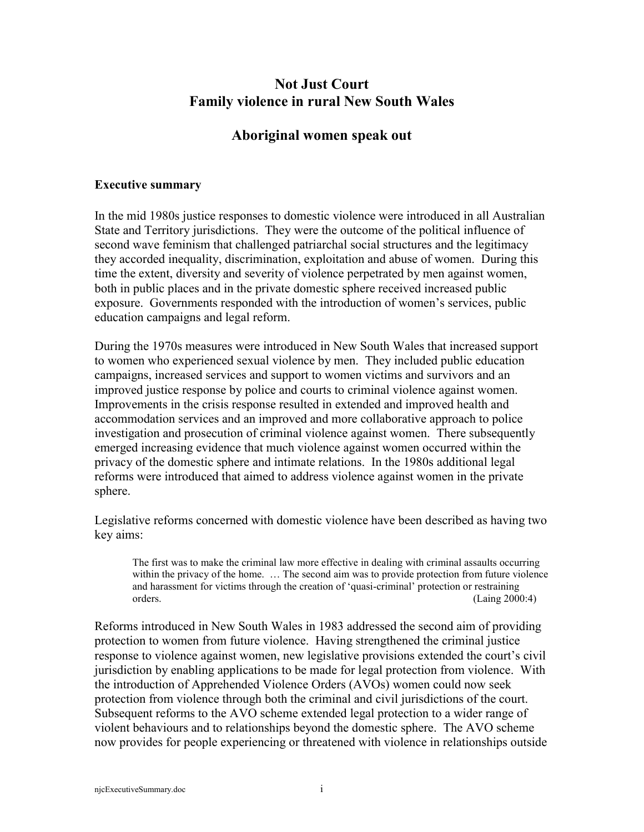# **Not Just Court Family violence in rural New South Wales**

# **Aboriginal women speak out**

### **Executive summary**

In the mid 1980s justice responses to domestic violence were introduced in all Australian State and Territory jurisdictions. They were the outcome of the political influence of second wave feminism that challenged patriarchal social structures and the legitimacy they accorded inequality, discrimination, exploitation and abuse of women. During this time the extent, diversity and severity of violence perpetrated by men against women, both in public places and in the private domestic sphere received increased public exposure. Governments responded with the introduction of women's services, public education campaigns and legal reform.

During the 1970s measures were introduced in New South Wales that increased support to women who experienced sexual violence by men. They included public education campaigns, increased services and support to women victims and survivors and an improved justice response by police and courts to criminal violence against women. Improvements in the crisis response resulted in extended and improved health and accommodation services and an improved and more collaborative approach to police investigation and prosecution of criminal violence against women. There subsequently emerged increasing evidence that much violence against women occurred within the privacy of the domestic sphere and intimate relations. In the 1980s additional legal reforms were introduced that aimed to address violence against women in the private sphere.

Legislative reforms concerned with domestic violence have been described as having two key aims:

The first was to make the criminal law more effective in dealing with criminal assaults occurring within the privacy of the home. ... The second aim was to provide protection from future violence and harassment for victims through the creation of 'quasi-criminal' protection or restraining orders. (Laing 2000:4)

Reforms introduced in New South Wales in 1983 addressed the second aim of providing protection to women from future violence. Having strengthened the criminal justice response to violence against women, new legislative provisions extended the court's civil jurisdiction by enabling applications to be made for legal protection from violence. With the introduction of Apprehended Violence Orders (AVOs) women could now seek protection from violence through both the criminal and civil jurisdictions of the court. Subsequent reforms to the AVO scheme extended legal protection to a wider range of violent behaviours and to relationships beyond the domestic sphere. The AVO scheme now provides for people experiencing or threatened with violence in relationships outside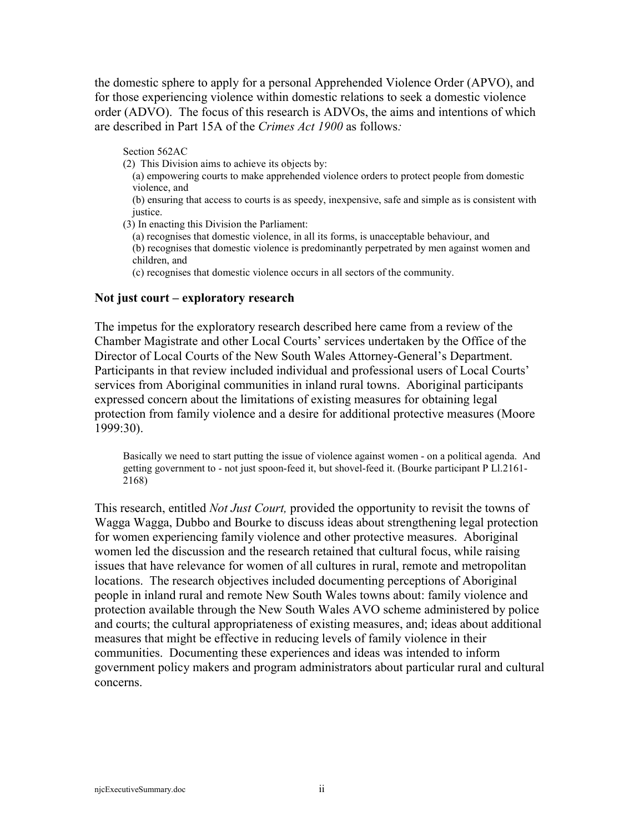the domestic sphere to apply for a personal Apprehended Violence Order (APVO), and for those experiencing violence within domestic relations to seek a domestic violence order (ADVO). The focus of this research is ADVOs, the aims and intentions of which are described in Part 15A of the *Crimes Act 1900* as follows*:*

Section 562AC

- (2) This Division aims to achieve its objects by:
	- (a) empowering courts to make apprehended violence orders to protect people from domestic violence, and
	- (b) ensuring that access to courts is as speedy, inexpensive, safe and simple as is consistent with justice.
- (3) In enacting this Division the Parliament:
	- (a) recognises that domestic violence, in all its forms, is unacceptable behaviour, and
	- (b) recognises that domestic violence is predominantly perpetrated by men against women and children, and
	- (c) recognises that domestic violence occurs in all sectors of the community.

#### **Not just court – exploratory research**

The impetus for the exploratory research described here came from a review of the Chamber Magistrate and other Local Courts' services undertaken by the Office of the Director of Local Courts of the New South Wales Attorney-General's Department. Participants in that review included individual and professional users of Local Courts' services from Aboriginal communities in inland rural towns. Aboriginal participants expressed concern about the limitations of existing measures for obtaining legal protection from family violence and a desire for additional protective measures (Moore 1999:30).

Basically we need to start putting the issue of violence against women - on a political agenda. And getting government to - not just spoon-feed it, but shovel-feed it. (Bourke participant P Ll.2161- 2168)

This research, entitled *Not Just Court,* provided the opportunity to revisit the towns of Wagga Wagga, Dubbo and Bourke to discuss ideas about strengthening legal protection for women experiencing family violence and other protective measures. Aboriginal women led the discussion and the research retained that cultural focus, while raising issues that have relevance for women of all cultures in rural, remote and metropolitan locations. The research objectives included documenting perceptions of Aboriginal people in inland rural and remote New South Wales towns about: family violence and protection available through the New South Wales AVO scheme administered by police and courts; the cultural appropriateness of existing measures, and; ideas about additional measures that might be effective in reducing levels of family violence in their communities. Documenting these experiences and ideas was intended to inform government policy makers and program administrators about particular rural and cultural concerns.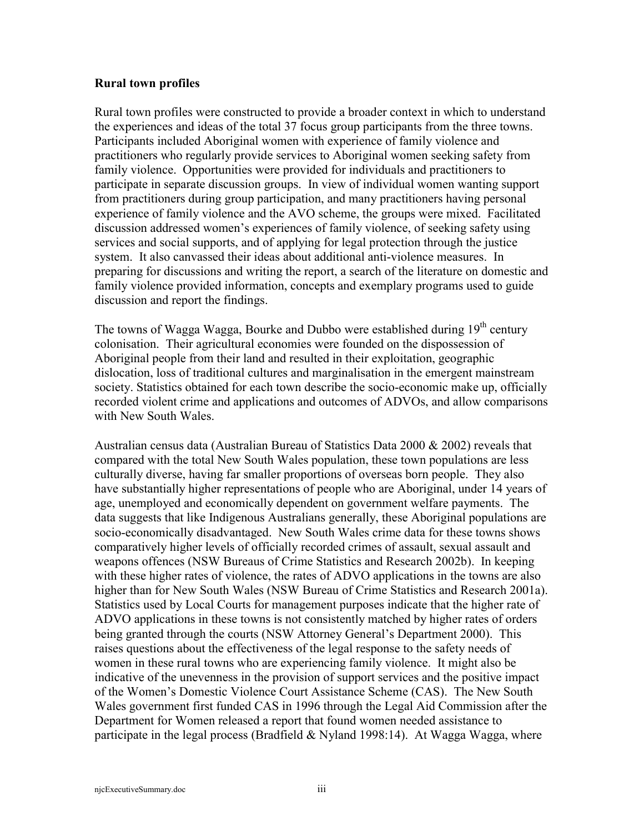### **Rural town profiles**

Rural town profiles were constructed to provide a broader context in which to understand the experiences and ideas of the total 37 focus group participants from the three towns. Participants included Aboriginal women with experience of family violence and practitioners who regularly provide services to Aboriginal women seeking safety from family violence. Opportunities were provided for individuals and practitioners to participate in separate discussion groups. In view of individual women wanting support from practitioners during group participation, and many practitioners having personal experience of family violence and the AVO scheme, the groups were mixed. Facilitated discussion addressed women's experiences of family violence, of seeking safety using services and social supports, and of applying for legal protection through the justice system. It also canvassed their ideas about additional anti-violence measures. In preparing for discussions and writing the report, a search of the literature on domestic and family violence provided information, concepts and exemplary programs used to guide discussion and report the findings.

The towns of Wagga Wagga, Bourke and Dubbo were established during 19<sup>th</sup> century colonisation. Their agricultural economies were founded on the dispossession of Aboriginal people from their land and resulted in their exploitation, geographic dislocation, loss of traditional cultures and marginalisation in the emergent mainstream society. Statistics obtained for each town describe the socio-economic make up, officially recorded violent crime and applications and outcomes of ADVOs, and allow comparisons with New South Wales.

Australian census data (Australian Bureau of Statistics Data 2000 & 2002) reveals that compared with the total New South Wales population, these town populations are less culturally diverse, having far smaller proportions of overseas born people. They also have substantially higher representations of people who are Aboriginal, under 14 years of age, unemployed and economically dependent on government welfare payments. The data suggests that like Indigenous Australians generally, these Aboriginal populations are socio-economically disadvantaged. New South Wales crime data for these towns shows comparatively higher levels of officially recorded crimes of assault, sexual assault and weapons offences (NSW Bureaus of Crime Statistics and Research 2002b). In keeping with these higher rates of violence, the rates of ADVO applications in the towns are also higher than for New South Wales (NSW Bureau of Crime Statistics and Research 2001a). Statistics used by Local Courts for management purposes indicate that the higher rate of ADVO applications in these towns is not consistently matched by higher rates of orders being granted through the courts (NSW Attorney General's Department 2000). This raises questions about the effectiveness of the legal response to the safety needs of women in these rural towns who are experiencing family violence. It might also be indicative of the unevenness in the provision of support services and the positive impact of the Women's Domestic Violence Court Assistance Scheme (CAS). The New South Wales government first funded CAS in 1996 through the Legal Aid Commission after the Department for Women released a report that found women needed assistance to participate in the legal process (Bradfield  $&$  Nyland 1998:14). At Wagga Wagga, where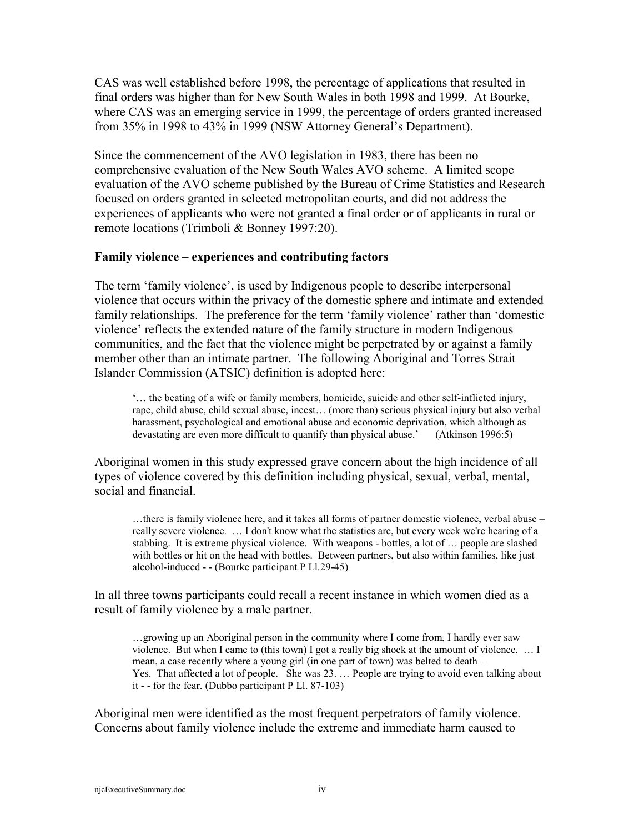CAS was well established before 1998, the percentage of applications that resulted in final orders was higher than for New South Wales in both 1998 and 1999. At Bourke, where CAS was an emerging service in 1999, the percentage of orders granted increased from 35% in 1998 to 43% in 1999 (NSW Attorney General's Department).

Since the commencement of the AVO legislation in 1983, there has been no comprehensive evaluation of the New South Wales AVO scheme. A limited scope evaluation of the AVO scheme published by the Bureau of Crime Statistics and Research focused on orders granted in selected metropolitan courts, and did not address the experiences of applicants who were not granted a final order or of applicants in rural or remote locations (Trimboli & Bonney 1997:20).

### **Family violence – experiences and contributing factors**

The term 'family violence', is used by Indigenous people to describe interpersonal violence that occurs within the privacy of the domestic sphere and intimate and extended family relationships. The preference for the term 'family violence' rather than 'domestic violence' reflects the extended nature of the family structure in modern Indigenous communities, and the fact that the violence might be perpetrated by or against a family member other than an intimate partner. The following Aboriginal and Torres Strait Islander Commission (ATSIC) definition is adopted here:

'… the beating of a wife or family members, homicide, suicide and other self-inflicted injury, rape, child abuse, child sexual abuse, incest… (more than) serious physical injury but also verbal harassment, psychological and emotional abuse and economic deprivation, which although as devastating are even more difficult to quantify than physical abuse.' (Atkinson 1996:5)

Aboriginal women in this study expressed grave concern about the high incidence of all types of violence covered by this definition including physical, sexual, verbal, mental, social and financial.

…there is family violence here, and it takes all forms of partner domestic violence, verbal abuse – really severe violence. … I don't know what the statistics are, but every week we're hearing of a stabbing. It is extreme physical violence. With weapons - bottles, a lot of … people are slashed with bottles or hit on the head with bottles. Between partners, but also within families, like just alcohol-induced - - (Bourke participant P Ll.29-45)

In all three towns participants could recall a recent instance in which women died as a result of family violence by a male partner.

…growing up an Aboriginal person in the community where I come from, I hardly ever saw violence. But when I came to (this town) I got a really big shock at the amount of violence. … I mean, a case recently where a young girl (in one part of town) was belted to death – Yes. That affected a lot of people. She was 23. … People are trying to avoid even talking about it - - for the fear. (Dubbo participant P Ll. 87-103)

Aboriginal men were identified as the most frequent perpetrators of family violence. Concerns about family violence include the extreme and immediate harm caused to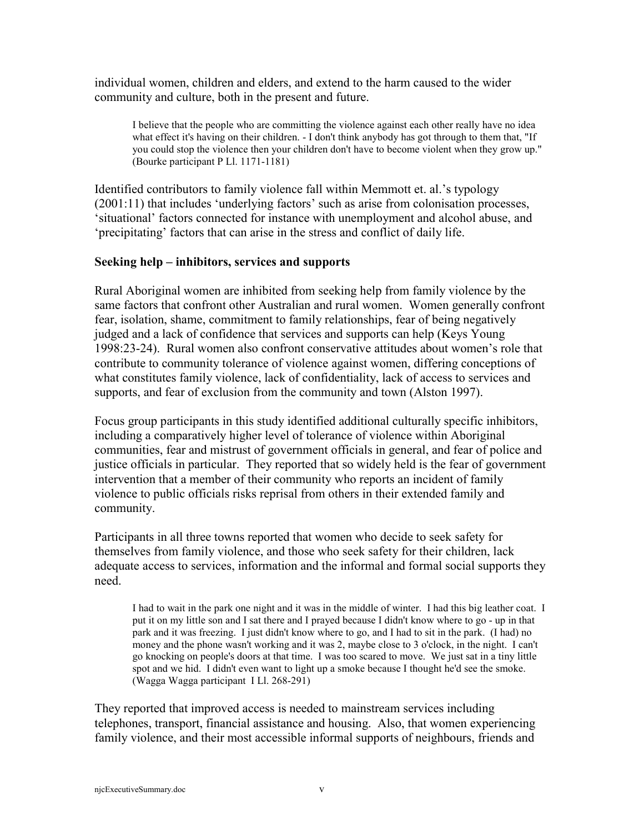individual women, children and elders, and extend to the harm caused to the wider community and culture, both in the present and future.

I believe that the people who are committing the violence against each other really have no idea what effect it's having on their children. - I don't think anybody has got through to them that, "If you could stop the violence then your children don't have to become violent when they grow up." (Bourke participant P Ll. 1171-1181)

Identified contributors to family violence fall within Memmott et. al.'s typology (2001:11) that includes 'underlying factors' such as arise from colonisation processes, 'situational' factors connected for instance with unemployment and alcohol abuse, and 'precipitating' factors that can arise in the stress and conflict of daily life.

### **Seeking help – inhibitors, services and supports**

Rural Aboriginal women are inhibited from seeking help from family violence by the same factors that confront other Australian and rural women. Women generally confront fear, isolation, shame, commitment to family relationships, fear of being negatively judged and a lack of confidence that services and supports can help (Keys Young 1998:23-24). Rural women also confront conservative attitudes about women's role that contribute to community tolerance of violence against women, differing conceptions of what constitutes family violence, lack of confidentiality, lack of access to services and supports, and fear of exclusion from the community and town (Alston 1997).

Focus group participants in this study identified additional culturally specific inhibitors, including a comparatively higher level of tolerance of violence within Aboriginal communities, fear and mistrust of government officials in general, and fear of police and justice officials in particular. They reported that so widely held is the fear of government intervention that a member of their community who reports an incident of family violence to public officials risks reprisal from others in their extended family and community.

Participants in all three towns reported that women who decide to seek safety for themselves from family violence, and those who seek safety for their children, lack adequate access to services, information and the informal and formal social supports they need.

I had to wait in the park one night and it was in the middle of winter. I had this big leather coat. I put it on my little son and I sat there and I prayed because I didn't know where to go - up in that park and it was freezing. I just didn't know where to go, and I had to sit in the park. (I had) no money and the phone wasn't working and it was 2, maybe close to 3 o'clock, in the night. I can't go knocking on people's doors at that time. I was too scared to move. We just sat in a tiny little spot and we hid. I didn't even want to light up a smoke because I thought he'd see the smoke. (Wagga Wagga participant I Ll. 268-291)

They reported that improved access is needed to mainstream services including telephones, transport, financial assistance and housing. Also, that women experiencing family violence, and their most accessible informal supports of neighbours, friends and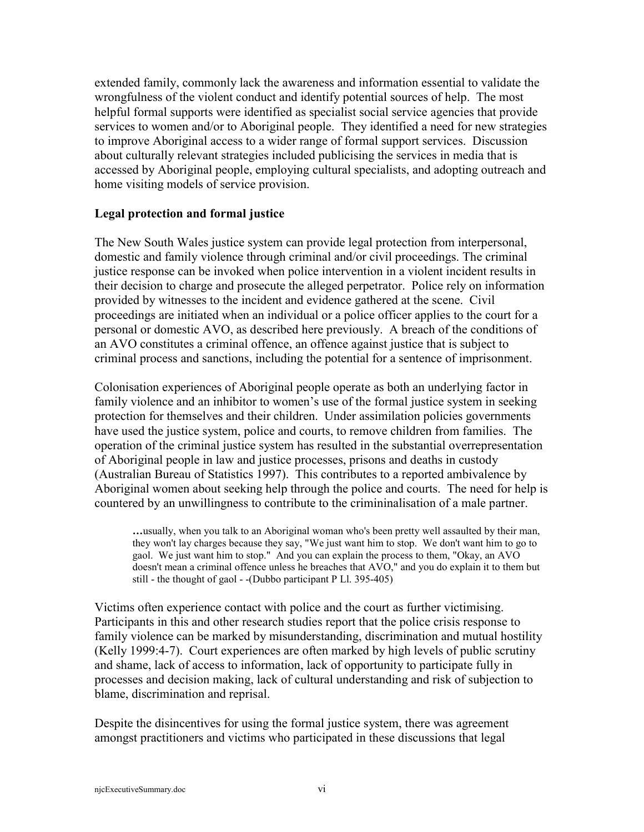extended family, commonly lack the awareness and information essential to validate the wrongfulness of the violent conduct and identify potential sources of help. The most helpful formal supports were identified as specialist social service agencies that provide services to women and/or to Aboriginal people. They identified a need for new strategies to improve Aboriginal access to a wider range of formal support services. Discussion about culturally relevant strategies included publicising the services in media that is accessed by Aboriginal people, employing cultural specialists, and adopting outreach and home visiting models of service provision.

### **Legal protection and formal justice**

The New South Wales justice system can provide legal protection from interpersonal, domestic and family violence through criminal and/or civil proceedings. The criminal justice response can be invoked when police intervention in a violent incident results in their decision to charge and prosecute the alleged perpetrator. Police rely on information provided by witnesses to the incident and evidence gathered at the scene. Civil proceedings are initiated when an individual or a police officer applies to the court for a personal or domestic AVO, as described here previously. A breach of the conditions of an AVO constitutes a criminal offence, an offence against justice that is subject to criminal process and sanctions, including the potential for a sentence of imprisonment.

Colonisation experiences of Aboriginal people operate as both an underlying factor in family violence and an inhibitor to women's use of the formal justice system in seeking protection for themselves and their children. Under assimilation policies governments have used the justice system, police and courts, to remove children from families. The operation of the criminal justice system has resulted in the substantial overrepresentation of Aboriginal people in law and justice processes, prisons and deaths in custody (Australian Bureau of Statistics 1997). This contributes to a reported ambivalence by Aboriginal women about seeking help through the police and courts. The need for help is countered by an unwillingness to contribute to the crimininalisation of a male partner.

**…**usually, when you talk to an Aboriginal woman who's been pretty well assaulted by their man, they won't lay charges because they say, "We just want him to stop. We don't want him to go to gaol. We just want him to stop." And you can explain the process to them, "Okay, an AVO doesn't mean a criminal offence unless he breaches that AVO," and you do explain it to them but still - the thought of gaol - -(Dubbo participant P Ll. 395-405)

Victims often experience contact with police and the court as further victimising. Participants in this and other research studies report that the police crisis response to family violence can be marked by misunderstanding, discrimination and mutual hostility (Kelly 1999:4-7). Court experiences are often marked by high levels of public scrutiny and shame, lack of access to information, lack of opportunity to participate fully in processes and decision making, lack of cultural understanding and risk of subjection to blame, discrimination and reprisal.

Despite the disincentives for using the formal justice system, there was agreement amongst practitioners and victims who participated in these discussions that legal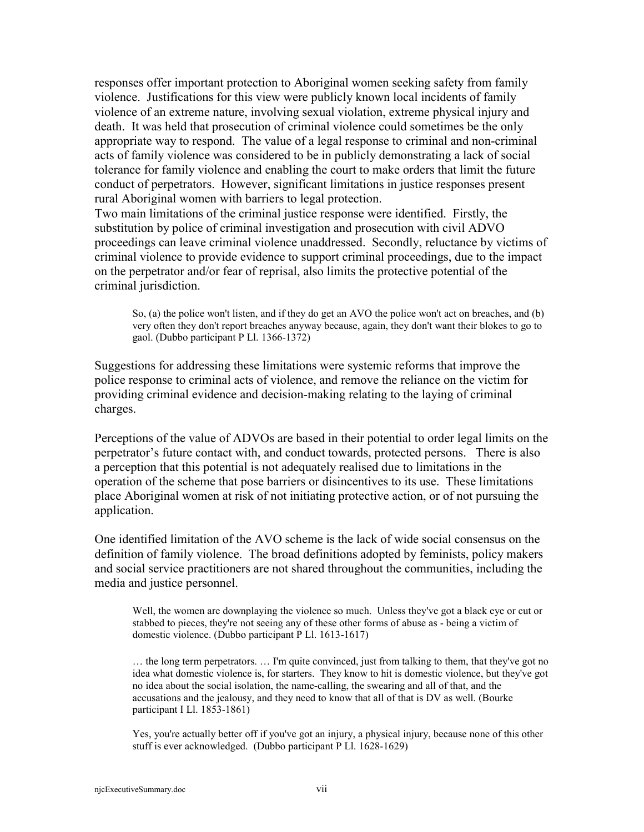responses offer important protection to Aboriginal women seeking safety from family violence. Justifications for this view were publicly known local incidents of family violence of an extreme nature, involving sexual violation, extreme physical injury and death. It was held that prosecution of criminal violence could sometimes be the only appropriate way to respond. The value of a legal response to criminal and non-criminal acts of family violence was considered to be in publicly demonstrating a lack of social tolerance for family violence and enabling the court to make orders that limit the future conduct of perpetrators. However, significant limitations in justice responses present rural Aboriginal women with barriers to legal protection.

Two main limitations of the criminal justice response were identified. Firstly, the substitution by police of criminal investigation and prosecution with civil ADVO proceedings can leave criminal violence unaddressed. Secondly, reluctance by victims of criminal violence to provide evidence to support criminal proceedings, due to the impact on the perpetrator and/or fear of reprisal, also limits the protective potential of the criminal jurisdiction.

So, (a) the police won't listen, and if they do get an AVO the police won't act on breaches, and (b) very often they don't report breaches anyway because, again, they don't want their blokes to go to gaol. (Dubbo participant P Ll. 1366-1372)

Suggestions for addressing these limitations were systemic reforms that improve the police response to criminal acts of violence, and remove the reliance on the victim for providing criminal evidence and decision-making relating to the laying of criminal charges.

Perceptions of the value of ADVOs are based in their potential to order legal limits on the perpetrator's future contact with, and conduct towards, protected persons. There is also a perception that this potential is not adequately realised due to limitations in the operation of the scheme that pose barriers or disincentives to its use. These limitations place Aboriginal women at risk of not initiating protective action, or of not pursuing the application.

One identified limitation of the AVO scheme is the lack of wide social consensus on the definition of family violence. The broad definitions adopted by feminists, policy makers and social service practitioners are not shared throughout the communities, including the media and justice personnel.

Well, the women are downplaying the violence so much. Unless they've got a black eye or cut or stabbed to pieces, they're not seeing any of these other forms of abuse as - being a victim of domestic violence. (Dubbo participant P Ll. 1613-1617)

… the long term perpetrators. … I'm quite convinced, just from talking to them, that they've got no idea what domestic violence is, for starters. They know to hit is domestic violence, but they've got no idea about the social isolation, the name-calling, the swearing and all of that, and the accusations and the jealousy, and they need to know that all of that is DV as well. (Bourke participant I Ll. 1853-1861)

Yes, you're actually better off if you've got an injury, a physical injury, because none of this other stuff is ever acknowledged. (Dubbo participant P Ll. 1628-1629)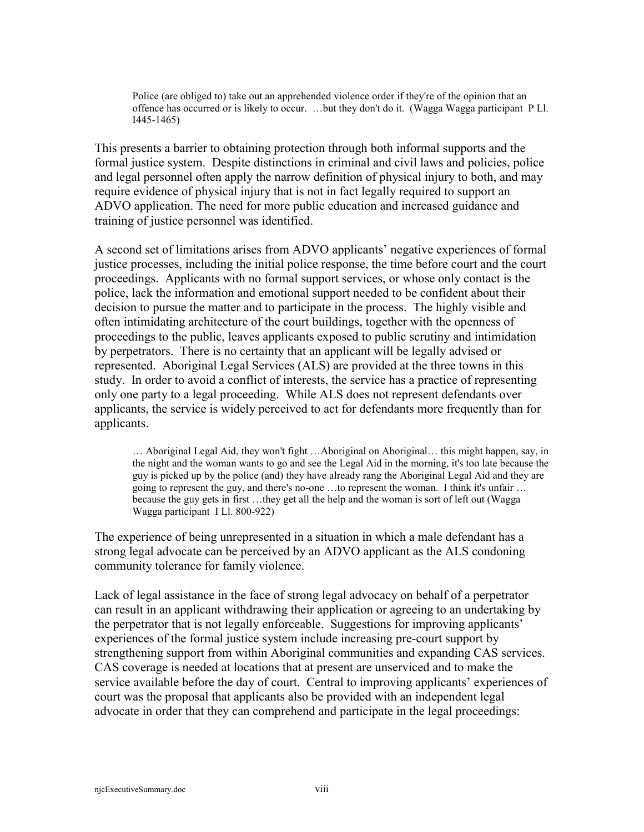Police (are obliged to) take out an apprehended violence order if they're of the opinion that an offence has occurred or is likely to occur. …but they don't do it. (Wagga Wagga participant P Ll. I445-1465)

This presents a barrier to obtaining protection through both informal supports and the formal justice system. Despite distinctions in criminal and civil laws and policies, police and legal personnel often apply the narrow definition of physical injury to both, and may require evidence of physical injury that is not in fact legally required to support an ADVO application. The need for more public education and increased guidance and training of justice personnel was identified.

A second set of limitations arises from ADVO applicants' negative experiences of formal justice processes, including the initial police response, the time before court and the court proceedings. Applicants with no formal support services, or whose only contact is the police, lack the information and emotional support needed to be confident about their decision to pursue the matter and to participate in the process. The highly visible and often intimidating architecture of the court buildings, together with the openness of proceedings to the public, leaves applicants exposed to public scrutiny and intimidation by perpetrators. There is no certainty that an applicant will be legally advised or represented. Aboriginal Legal Services (ALS) are provided at the three towns in this study. In order to avoid a conflict of interests, the service has a practice of representing only one party to a legal proceeding. While ALS does not represent defendants over applicants, the service is widely perceived to act for defendants more frequently than for applicants.

… Aboriginal Legal Aid, they won't fight …Aboriginal on Aboriginal… this might happen, say, in the night and the woman wants to go and see the Legal Aid in the morning, it's too late because the guy is picked up by the police (and) they have already rang the Aboriginal Legal Aid and they are going to represent the guy, and there's no-one …to represent the woman. I think it's unfair … because the guy gets in first …they get all the help and the woman is sort of left out (Wagga Wagga participant I Ll. 800-922)

The experience of being unrepresented in a situation in which a male defendant has a strong legal advocate can be perceived by an ADVO applicant as the ALS condoning community tolerance for family violence.

Lack of legal assistance in the face of strong legal advocacy on behalf of a perpetrator can result in an applicant withdrawing their application or agreeing to an undertaking by the perpetrator that is not legally enforceable. Suggestions for improving applicants' experiences of the formal justice system include increasing pre-court support by strengthening support from within Aboriginal communities and expanding CAS services. CAS coverage is needed at locations that at present are unserviced and to make the service available before the day of court. Central to improving applicants' experiences of court was the proposal that applicants also be provided with an independent legal advocate in order that they can comprehend and participate in the legal proceedings: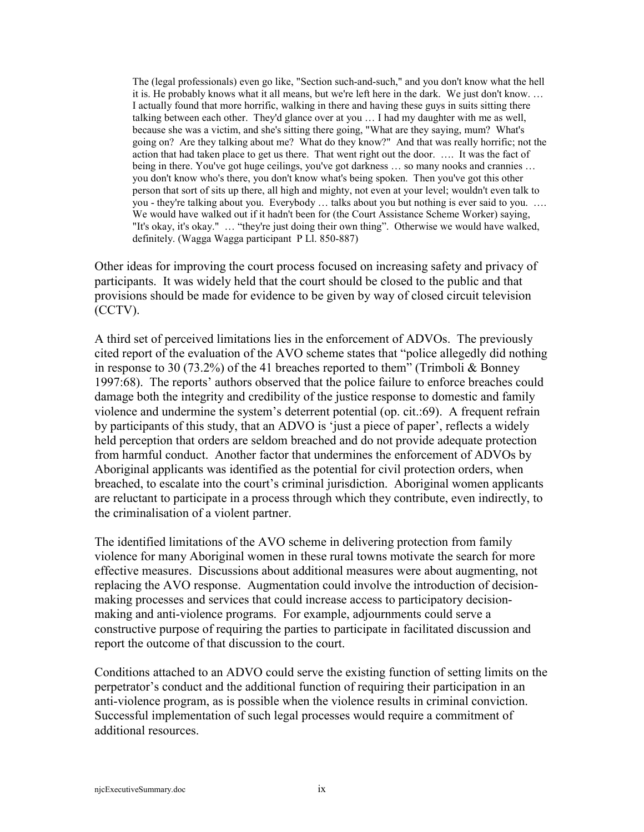The (legal professionals) even go like, "Section such-and-such," and you don't know what the hell it is. He probably knows what it all means, but we're left here in the dark. We just don't know. … I actually found that more horrific, walking in there and having these guys in suits sitting there talking between each other. They'd glance over at you … I had my daughter with me as well, because she was a victim, and she's sitting there going, "What are they saying, mum? What's going on? Are they talking about me? What do they know?" And that was really horrific; not the action that had taken place to get us there. That went right out the door. …. It was the fact of being in there. You've got huge ceilings, you've got darkness … so many nooks and crannies … you don't know who's there, you don't know what's being spoken. Then you've got this other person that sort of sits up there, all high and mighty, not even at your level; wouldn't even talk to you - they're talking about you. Everybody … talks about you but nothing is ever said to you. …. We would have walked out if it hadn't been for (the Court Assistance Scheme Worker) saying, "It's okay, it's okay." … "they're just doing their own thing". Otherwise we would have walked, definitely. (Wagga Wagga participant P Ll. 850-887)

Other ideas for improving the court process focused on increasing safety and privacy of participants. It was widely held that the court should be closed to the public and that provisions should be made for evidence to be given by way of closed circuit television (CCTV).

A third set of perceived limitations lies in the enforcement of ADVOs. The previously cited report of the evaluation of the AVO scheme states that "police allegedly did nothing in response to 30 (73.2%) of the 41 breaches reported to them" (Trimboli  $&$  Bonney 1997:68). The reports' authors observed that the police failure to enforce breaches could damage both the integrity and credibility of the justice response to domestic and family violence and undermine the system's deterrent potential (op. cit.:69). A frequent refrain by participants of this study, that an ADVO is 'just a piece of paper', reflects a widely held perception that orders are seldom breached and do not provide adequate protection from harmful conduct. Another factor that undermines the enforcement of ADVOs by Aboriginal applicants was identified as the potential for civil protection orders, when breached, to escalate into the court's criminal jurisdiction. Aboriginal women applicants are reluctant to participate in a process through which they contribute, even indirectly, to the criminalisation of a violent partner.

The identified limitations of the AVO scheme in delivering protection from family violence for many Aboriginal women in these rural towns motivate the search for more effective measures. Discussions about additional measures were about augmenting, not replacing the AVO response. Augmentation could involve the introduction of decisionmaking processes and services that could increase access to participatory decisionmaking and anti-violence programs. For example, adjournments could serve a constructive purpose of requiring the parties to participate in facilitated discussion and report the outcome of that discussion to the court.

Conditions attached to an ADVO could serve the existing function of setting limits on the perpetrator's conduct and the additional function of requiring their participation in an anti-violence program, as is possible when the violence results in criminal conviction. Successful implementation of such legal processes would require a commitment of additional resources.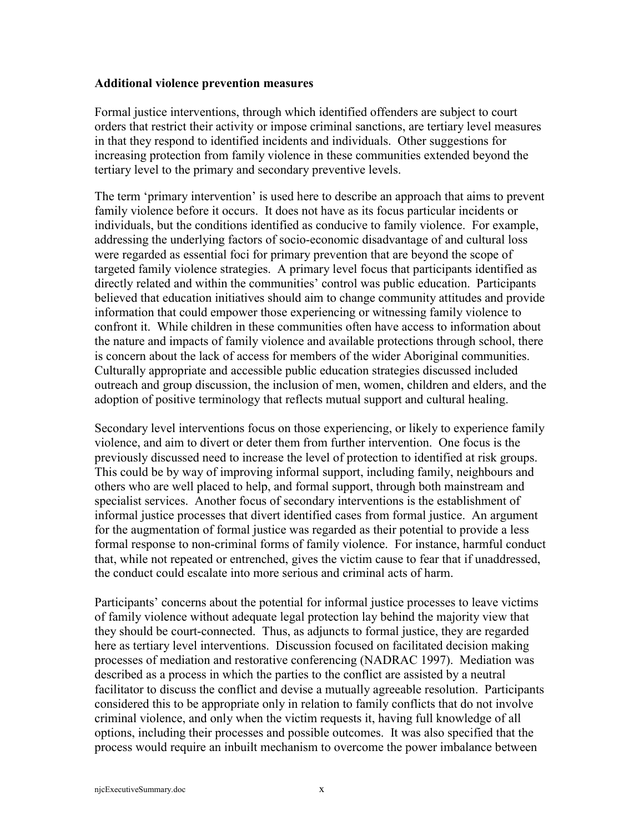#### **Additional violence prevention measures**

Formal justice interventions, through which identified offenders are subject to court orders that restrict their activity or impose criminal sanctions, are tertiary level measures in that they respond to identified incidents and individuals. Other suggestions for increasing protection from family violence in these communities extended beyond the tertiary level to the primary and secondary preventive levels.

The term 'primary intervention' is used here to describe an approach that aims to prevent family violence before it occurs. It does not have as its focus particular incidents or individuals, but the conditions identified as conducive to family violence. For example, addressing the underlying factors of socio-economic disadvantage of and cultural loss were regarded as essential foci for primary prevention that are beyond the scope of targeted family violence strategies. A primary level focus that participants identified as directly related and within the communities' control was public education. Participants believed that education initiatives should aim to change community attitudes and provide information that could empower those experiencing or witnessing family violence to confront it. While children in these communities often have access to information about the nature and impacts of family violence and available protections through school, there is concern about the lack of access for members of the wider Aboriginal communities. Culturally appropriate and accessible public education strategies discussed included outreach and group discussion, the inclusion of men, women, children and elders, and the adoption of positive terminology that reflects mutual support and cultural healing.

Secondary level interventions focus on those experiencing, or likely to experience family violence, and aim to divert or deter them from further intervention. One focus is the previously discussed need to increase the level of protection to identified at risk groups. This could be by way of improving informal support, including family, neighbours and others who are well placed to help, and formal support, through both mainstream and specialist services. Another focus of secondary interventions is the establishment of informal justice processes that divert identified cases from formal justice. An argument for the augmentation of formal justice was regarded as their potential to provide a less formal response to non-criminal forms of family violence. For instance, harmful conduct that, while not repeated or entrenched, gives the victim cause to fear that if unaddressed, the conduct could escalate into more serious and criminal acts of harm.

Participants' concerns about the potential for informal justice processes to leave victims of family violence without adequate legal protection lay behind the majority view that they should be court-connected. Thus, as adjuncts to formal justice, they are regarded here as tertiary level interventions. Discussion focused on facilitated decision making processes of mediation and restorative conferencing (NADRAC 1997). Mediation was described as a process in which the parties to the conflict are assisted by a neutral facilitator to discuss the conflict and devise a mutually agreeable resolution. Participants considered this to be appropriate only in relation to family conflicts that do not involve criminal violence, and only when the victim requests it, having full knowledge of all options, including their processes and possible outcomes. It was also specified that the process would require an inbuilt mechanism to overcome the power imbalance between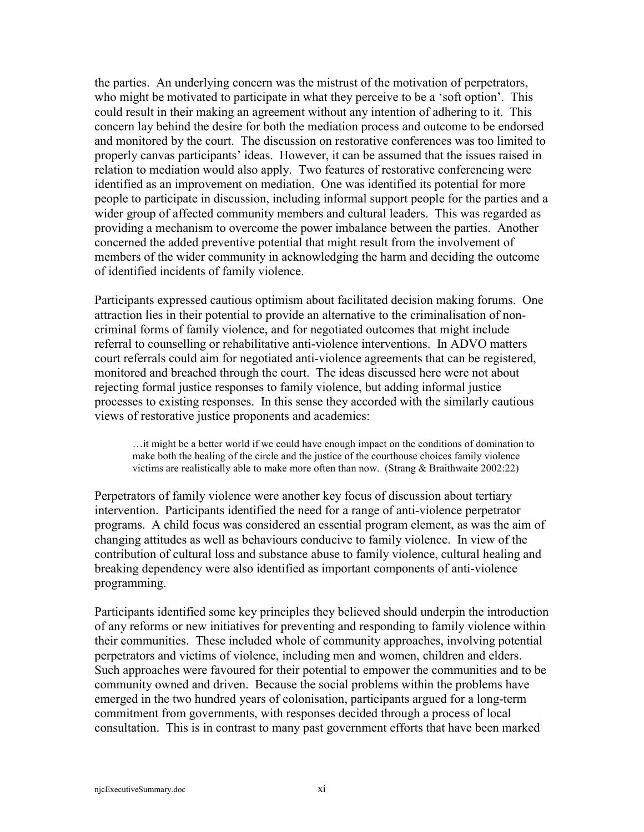the parties. An underlying concern was the mistrust of the motivation of perpetrators, who might be motivated to participate in what they perceive to be a 'soft option'. This could result in their making an agreement without any intention of adhering to it. This concern lay behind the desire for both the mediation process and outcome to be endorsed and monitored by the court. The discussion on restorative conferences was too limited to properly canvas participants' ideas. However, it can be assumed that the issues raised in relation to mediation would also apply. Two features of restorative conferencing were identified as an improvement on mediation. One was identified its potential for more people to participate in discussion, including informal support people for the parties and a wider group of affected community members and cultural leaders. This was regarded as providing a mechanism to overcome the power imbalance between the parties. Another concerned the added preventive potential that might result from the involvement of members of the wider community in acknowledging the harm and deciding the outcome of identified incidents of family violence.

Participants expressed cautious optimism about facilitated decision making forums. One attraction lies in their potential to provide an alternative to the criminalisation of noncriminal forms of family violence, and for negotiated outcomes that might include referral to counselling or rehabilitative anti-violence interventions. In ADVO matters court referrals could aim for negotiated anti-violence agreements that can be registered, monitored and breached through the court. The ideas discussed here were not about rejecting formal justice responses to family violence, but adding informal justice processes to existing responses. In this sense they accorded with the similarly cautious views of restorative justice proponents and academics:

…it might be a better world if we could have enough impact on the conditions of domination to make both the healing of the circle and the justice of the courthouse choices family violence victims are realistically able to make more often than now. (Strang & Braithwaite 2002:22)

Perpetrators of family violence were another key focus of discussion about tertiary intervention. Participants identified the need for a range of anti-violence perpetrator programs. A child focus was considered an essential program element, as was the aim of changing attitudes as well as behaviours conducive to family violence. In view of the contribution of cultural loss and substance abuse to family violence, cultural healing and breaking dependency were also identified as important components of anti-violence programming.

Participants identified some key principles they believed should underpin the introduction of any reforms or new initiatives for preventing and responding to family violence within their communities. These included whole of community approaches, involving potential perpetrators and victims of violence, including men and women, children and elders. Such approaches were favoured for their potential to empower the communities and to be community owned and driven. Because the social problems within the problems have emerged in the two hundred years of colonisation, participants argued for a long-term commitment from governments, with responses decided through a process of local consultation. This is in contrast to many past government efforts that have been marked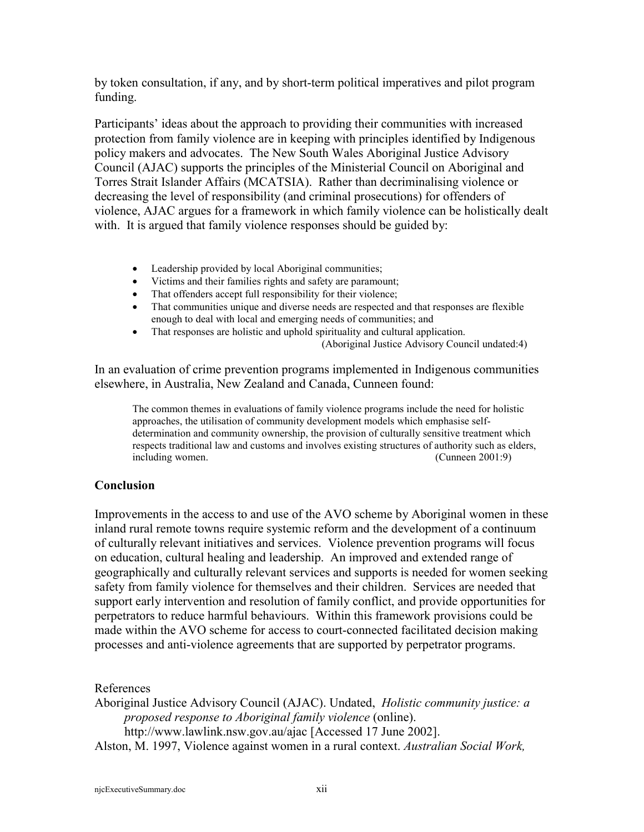by token consultation, if any, and by short-term political imperatives and pilot program funding.

Participants' ideas about the approach to providing their communities with increased protection from family violence are in keeping with principles identified by Indigenous policy makers and advocates. The New South Wales Aboriginal Justice Advisory Council (AJAC) supports the principles of the Ministerial Council on Aboriginal and Torres Strait Islander Affairs (MCATSIA). Rather than decriminalising violence or decreasing the level of responsibility (and criminal prosecutions) for offenders of violence, AJAC argues for a framework in which family violence can be holistically dealt with. It is argued that family violence responses should be guided by:

- Leadership provided by local Aboriginal communities;
- Victims and their families rights and safety are paramount;
- That offenders accept full responsibility for their violence;
- That communities unique and diverse needs are respected and that responses are flexible enough to deal with local and emerging needs of communities; and
- That responses are holistic and uphold spirituality and cultural application.
	- (Aboriginal Justice Advisory Council undated:4)

In an evaluation of crime prevention programs implemented in Indigenous communities elsewhere, in Australia, New Zealand and Canada, Cunneen found:

The common themes in evaluations of family violence programs include the need for holistic approaches, the utilisation of community development models which emphasise selfdetermination and community ownership, the provision of culturally sensitive treatment which respects traditional law and customs and involves existing structures of authority such as elders, including women. (Cunneen 2001:9)

### **Conclusion**

Improvements in the access to and use of the AVO scheme by Aboriginal women in these inland rural remote towns require systemic reform and the development of a continuum of culturally relevant initiatives and services. Violence prevention programs will focus on education, cultural healing and leadership. An improved and extended range of geographically and culturally relevant services and supports is needed for women seeking safety from family violence for themselves and their children. Services are needed that support early intervention and resolution of family conflict, and provide opportunities for perpetrators to reduce harmful behaviours. Within this framework provisions could be made within the AVO scheme for access to court-connected facilitated decision making processes and anti-violence agreements that are supported by perpetrator programs.

References

Aboriginal Justice Advisory Council (AJAC). Undated, *Holistic community justice: a proposed response to Aboriginal family violence* (online). http://www.lawlink.nsw.gov.au/ajac [Accessed 17 June 2002]. Alston, M. 1997, Violence against women in a rural context. *Australian Social Work,*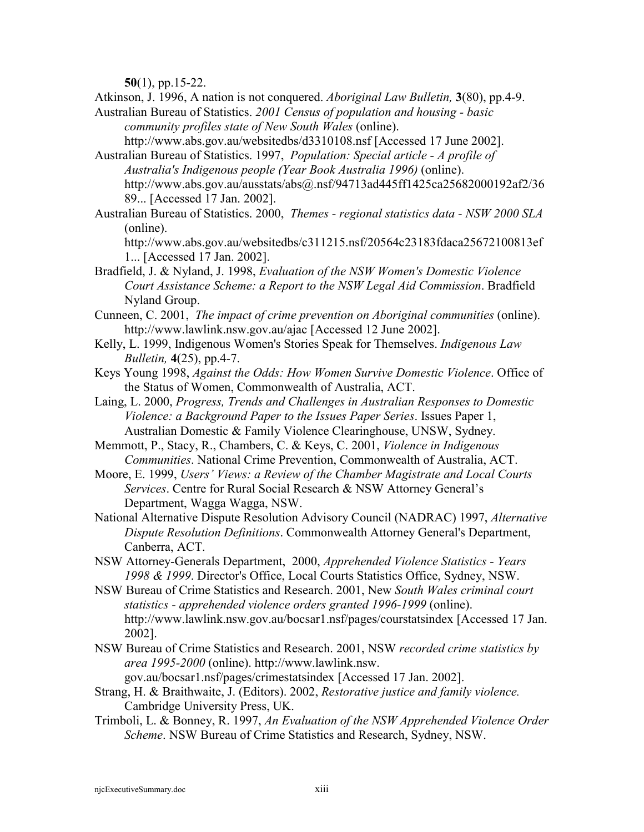**50**(1), pp.15-22.

Atkinson, J. 1996, A nation is not conquered. *Aboriginal Law Bulletin,* **3**(80), pp.4-9.

Australian Bureau of Statistics. *2001 Census of population and housing - basic community profiles state of New South Wales* (online).

http://www.abs.gov.au/websitedbs/d3310108.nsf [Accessed 17 June 2002].

- Australian Bureau of Statistics. 1997, *Population: Special article A profile of Australia's Indigenous people (Year Book Australia 1996)* (online). http://www.abs.gov.au/ausstats/abs@.nsf/94713ad445ff1425ca25682000192af2/36 89... [Accessed 17 Jan. 2002].
- Australian Bureau of Statistics. 2000, *Themes regional statistics data NSW 2000 SLA* (online).
	- http://www.abs.gov.au/websitedbs/c311215.nsf/20564c23183fdaca25672100813ef 1... [Accessed 17 Jan. 2002].
- Bradfield, J. & Nyland, J. 1998, *Evaluation of the NSW Women's Domestic Violence Court Assistance Scheme: a Report to the NSW Legal Aid Commission*. Bradfield Nyland Group.
- Cunneen, C. 2001, *The impact of crime prevention on Aboriginal communities* (online). http://www.lawlink.nsw.gov.au/ajac [Accessed 12 June 2002].
- Kelly, L. 1999, Indigenous Women's Stories Speak for Themselves. *Indigenous Law Bulletin,* **4**(25), pp.4-7.
- Keys Young 1998, *Against the Odds: How Women Survive Domestic Violence*. Office of the Status of Women, Commonwealth of Australia, ACT.
- Laing, L. 2000, *Progress, Trends and Challenges in Australian Responses to Domestic Violence: a Background Paper to the Issues Paper Series*. Issues Paper 1, Australian Domestic & Family Violence Clearinghouse, UNSW, Sydney.
- Memmott, P., Stacy, R., Chambers, C. & Keys, C. 2001, *Violence in Indigenous Communities*. National Crime Prevention, Commonwealth of Australia, ACT.
- Moore, E. 1999, *Users' Views: a Review of the Chamber Magistrate and Local Courts Services*. Centre for Rural Social Research & NSW Attorney General's Department, Wagga Wagga, NSW.
- National Alternative Dispute Resolution Advisory Council (NADRAC) 1997, *Alternative Dispute Resolution Definitions*. Commonwealth Attorney General's Department, Canberra, ACT.
- NSW Attorney-Generals Department, 2000, *Apprehended Violence Statistics Years 1998 & 1999*. Director's Office, Local Courts Statistics Office, Sydney, NSW.
- NSW Bureau of Crime Statistics and Research. 2001, New *South Wales criminal court statistics - apprehended violence orders granted 1996-1999* (online). http://www.lawlink.nsw.gov.au/bocsar1.nsf/pages/courstatsindex [Accessed 17 Jan. 2002].
- NSW Bureau of Crime Statistics and Research. 2001, NSW *recorded crime statistics by area 1995-2000* (online). http://www.lawlink.nsw.

gov.au/bocsar1.nsf/pages/crimestatsindex [Accessed 17 Jan. 2002].

- Strang, H. & Braithwaite, J. (Editors). 2002, *Restorative justice and family violence.* Cambridge University Press, UK.
- Trimboli, L. & Bonney, R. 1997, *An Evaluation of the NSW Apprehended Violence Order Scheme*. NSW Bureau of Crime Statistics and Research, Sydney, NSW.